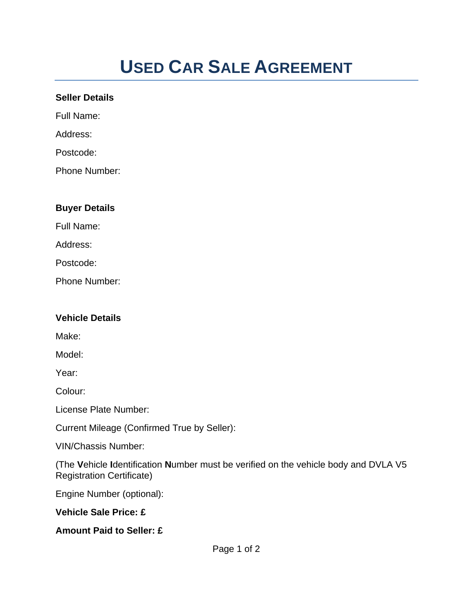## **USED CAR SALE AGREEMENT**

## **Seller Details**

Full Name:

Address:

Postcode:

Phone Number:

## **Buyer Details**

Full Name:

Address:

Postcode:

Phone Number:

## **Vehicle Details**

Make:

Model:

Year:

Colour:

License Plate Number:

Current Mileage (Confirmed True by Seller):

VIN/Chassis Number:

(The **V**ehicle **I**dentification **N**umber must be verified on the vehicle body and DVLA V5 Registration Certificate)

Engine Number (optional):

**Vehicle Sale Price: £** 

**Amount Paid to Seller: £**